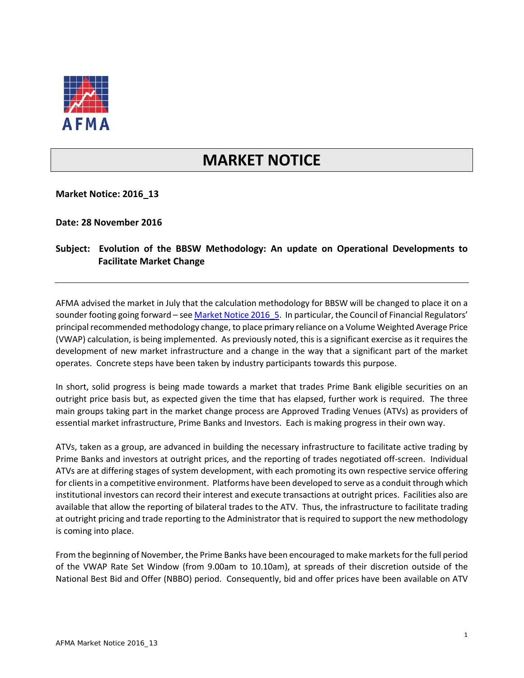

## **MARKET NOTICE**

**Market Notice: 2016\_13**

**Date: 28 November 2016**

## **Subject: Evolution of the BBSW Methodology: An update on Operational Developments to Facilitate Market Change**

AFMA advised the market in July that the calculation methodology for BBSW will be changed to place it on a sounder footing going forward - see Market Notice 2016 5. In particular, the Council of Financial Regulators' principal recommended methodology change, to place primary reliance on a Volume Weighted Average Price (VWAP) calculation, is being implemented. As previously noted, this is a significant exercise as it requires the development of new market infrastructure and a change in the way that a significant part of the market operates. Concrete steps have been taken by industry participants towards this purpose.

In short, solid progress is being made towards a market that trades Prime Bank eligible securities on an outright price basis but, as expected given the time that has elapsed, further work is required. The three main groups taking part in the market change process are Approved Trading Venues (ATVs) as providers of essential market infrastructure, Prime Banks and Investors. Each is making progress in their own way.

ATVs, taken as a group, are advanced in building the necessary infrastructure to facilitate active trading by Prime Banks and investors at outright prices, and the reporting of trades negotiated off-screen. Individual ATVs are at differing stages of system development, with each promoting its own respective service offering for clientsin a competitive environment. Platforms have been developed to serve as a conduit through which institutional investors can record their interest and execute transactions at outright prices. Facilities also are available that allow the reporting of bilateral trades to the ATV. Thus, the infrastructure to facilitate trading at outright pricing and trade reporting to the Administrator that is required to support the new methodology is coming into place.

From the beginning of November, the Prime Banks have been encouraged to make markets for the full period of the VWAP Rate Set Window (from 9.00am to 10.10am), at spreads of their discretion outside of the National Best Bid and Offer (NBBO) period. Consequently, bid and offer prices have been available on ATV